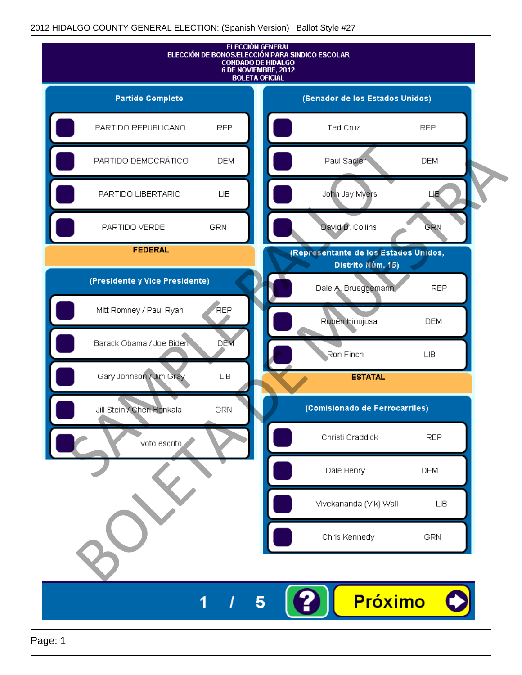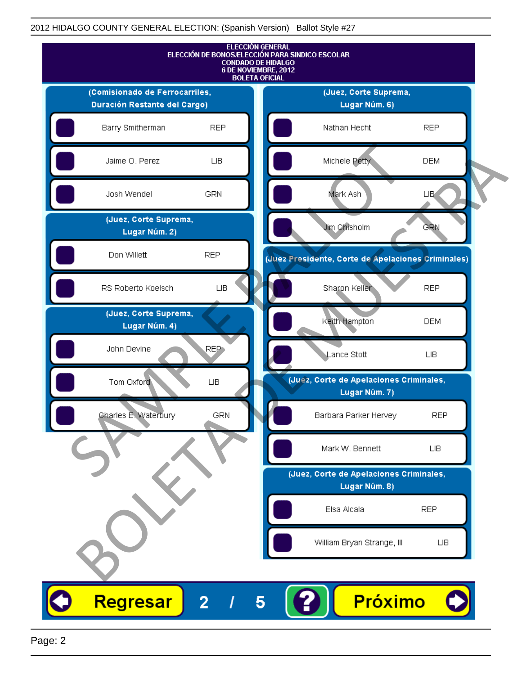

Page: 2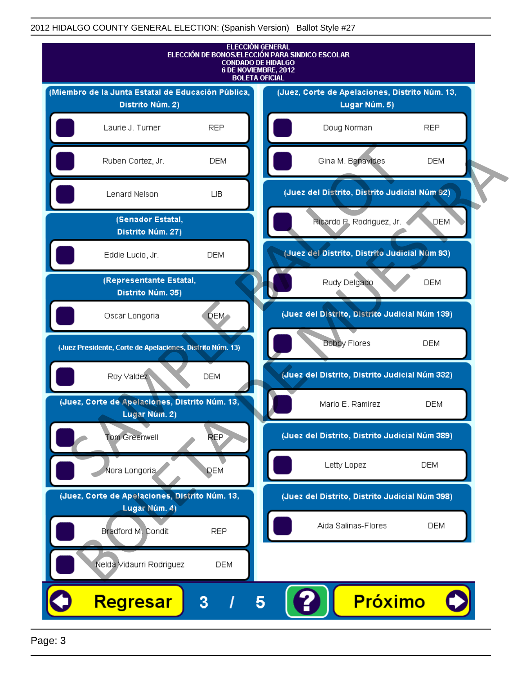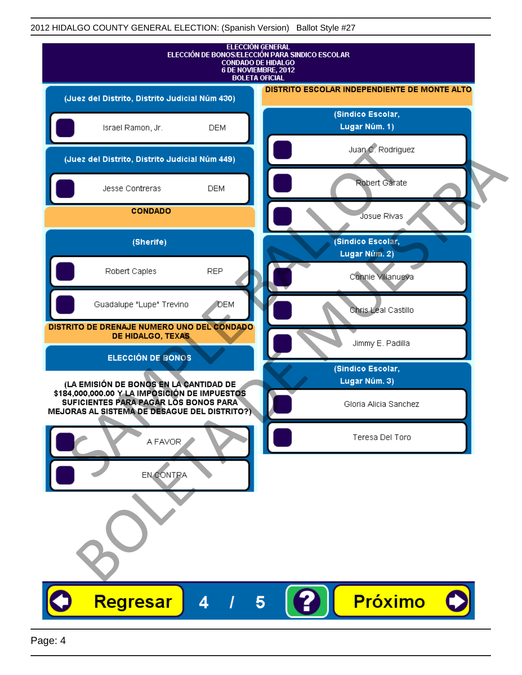| <b>ELECCIÓN GENERAL</b><br>ELECCIÓN DE BONOS/ELECCIÓN PARA SINDICO ESCOLAR<br><b>CONDADO DE HIDALGO</b><br>6 DE NOVIEMBRE, 2012<br><b>BOLETA OFICIAL</b>                         |                                              |
|----------------------------------------------------------------------------------------------------------------------------------------------------------------------------------|----------------------------------------------|
| (Juez del Distrito, Distrito Judicial Núm 430)                                                                                                                                   | DISTRITO ESCOLAR INDEPENDIENTE DE MONTE ALTO |
| Israel Ramon, Jr.<br><b>DEM</b>                                                                                                                                                  | (Sindico Escolar,<br>Lugar Núm. 1)           |
| (Juez del Distrito, Distrito Judicial Núm 449)                                                                                                                                   | Juan C. Rodriguez                            |
| Jesse Contreras<br><b>DEM</b>                                                                                                                                                    | Robert Gárate                                |
| <b>CONDADO</b>                                                                                                                                                                   | Josue Rivas                                  |
| (Sherife)                                                                                                                                                                        | (Sindico Escolar,<br>Lugar Núm. 2)           |
| Robert Caples<br><b>REP</b>                                                                                                                                                      | Connie Villanueva                            |
| Guadalupe "Lupe" Trevino<br>DEM                                                                                                                                                  | Chris Leal Castillo                          |
| DISTRITO DE DRENAJE NUMERO UNO DEL CONDADO<br>DE HIDALGO, TEXAS                                                                                                                  | Jimmy E. Padilla                             |
| <b>ELECCIÓN DE BONOS</b>                                                                                                                                                         | (Sindico Escolar,                            |
| (LA EMISIÓN DE BONOS EN LA CANTIDAD DE<br>\$184,000,000.00 Y LA IMPOSICIÓN DE IMPUESTOS<br>SUFICIENTES PARA PAGAR LOS BONOS PARA<br>MEJORAS AL SISTEMA DE DESAGUE DEL DISTRITO?) | Lugar Núm. 3)<br>Gloria Alicia Sanchez       |
| A FAVOR                                                                                                                                                                          | Teresa Del Toro                              |
| EN CONTRA                                                                                                                                                                        |                                              |
|                                                                                                                                                                                  |                                              |
| <b>Regresar</b><br>4                                                                                                                                                             | Próximo<br>5                                 |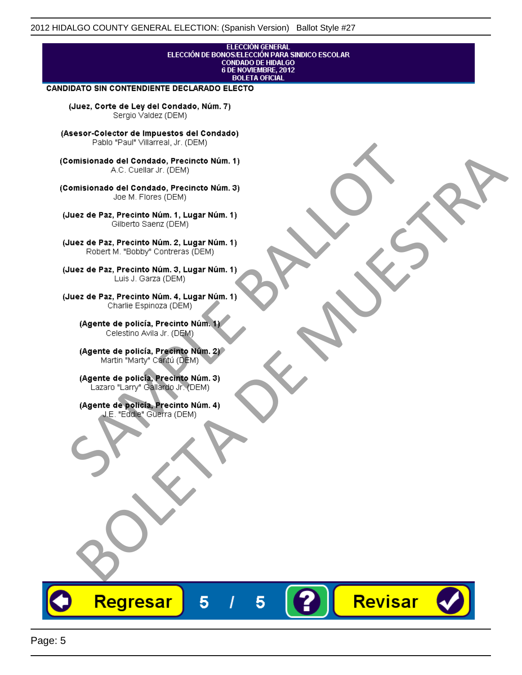## **ELECCIÓN GENERAL** ELECCIÓN DE BONOS/ELECCIÓN PARA SINDICO ESCOLAR<br>CONDADO DE HIDALGO<br>6 DE NOVIEMBRE, 2012 **BOLETA OFICIAL**

Revisar

### CANDIDATO SIN CONTENDIENTE DECLARADO ELECTO

(Juez, Corte de Ley del Condado, Núm. 7) Sergio Valdez (DEM)

(Asesor-Colector de Impuestos del Condado)

Fallo Fall Willdrea, J.I. (DEM)<br>
Consistionado el Condado, Precincto Núm. 1)<br>
A.C. Cuellar Jr. (DEM)<br>
Ullez de Paz, Precinto Núm. 1)<br>
Juez de Paz, Precinto Núm. 1, Lugar Núm. 1)<br>
Gilberto Sentz (DEM)<br>
Robert M. "Bobby" Con misionado del Condiado, Precincto Núm. 1)<br>
Andro del Condiado, Precincto Núm. 3)<br>
ez de Paz, Precinto Núm. 21<br>
algo M. Picer Lo Saerz, (CIEM)<br>
algo M. Picer Lo Saerz, (CIEM)<br>
algo M. Picer Lo Saerz, (CIEM)<br>
ez de Paz, Prec

Regresar

5

5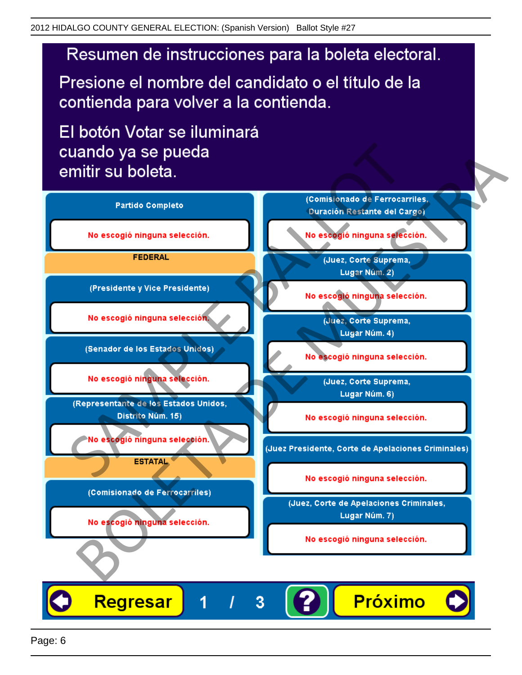# Resumen de instrucciones para la boleta electoral.

Presione el nombre del candidato o el título de la contienda para volver a la contienda.

El botón Votar se iluminará

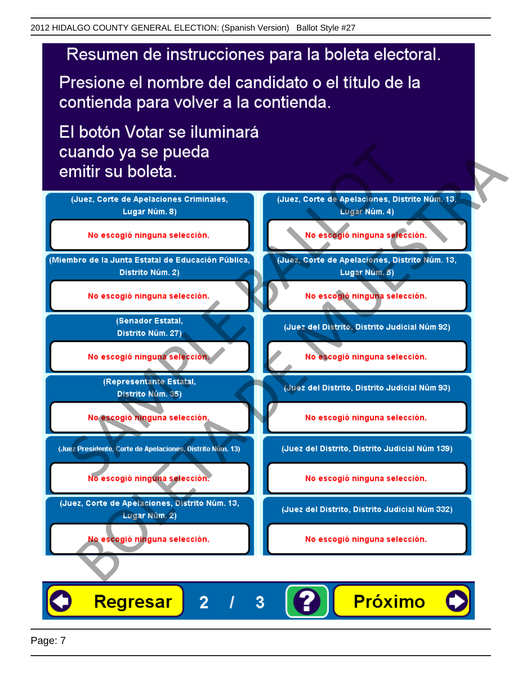# Resumen de instrucciones para la boleta electoral.

Presione el nombre del candidato o el título de la contienda para volver a la contienda.

El botón Votar se iluminará